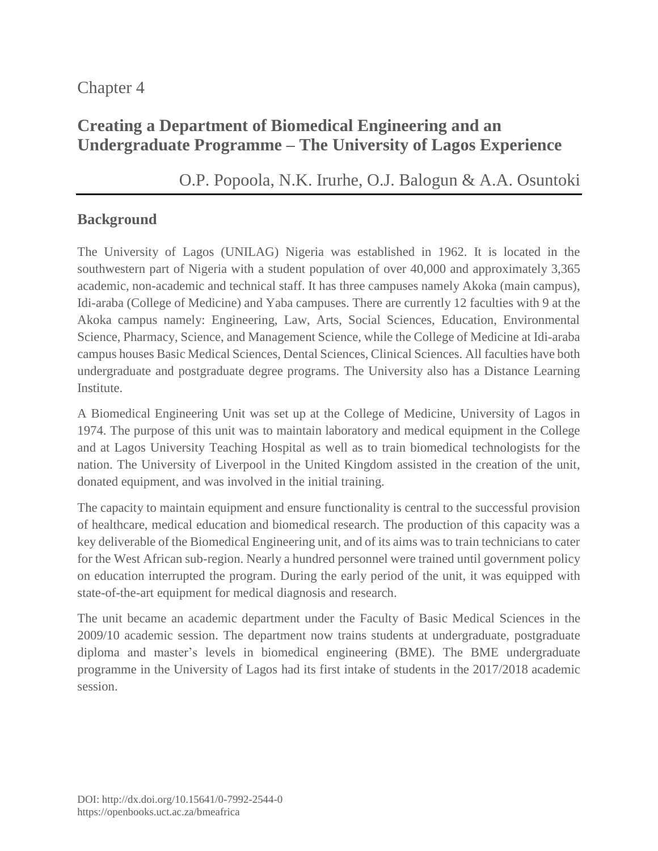## Chapter 4

# **Creating a Department of Biomedical Engineering and an Undergraduate Programme – The University of Lagos Experience**

# [O.P. Popoola,](https://orcid.org/0000-0001-5438-2807) [N.K. Irurhe,](https://orcid.org/0000-0002-6886-6586) [O.J. Balogun](https://orcid.org/0000-0002-7329-8448) & [A.A. Osuntoki](https://orcid.org/0000-0003-0993-5892)

### **Background**

The University of Lagos (UNILAG) Nigeria was established in 1962. It is located in the southwestern part of Nigeria with a student population of over 40,000 and approximately 3,365 academic, non-academic and technical staff. It has three campuses namely Akoka (main campus), Idi-araba (College of Medicine) and Yaba campuses. There are currently 12 faculties with 9 at the Akoka campus namely: Engineering, Law, Arts, Social Sciences, Education, Environmental Science, Pharmacy, Science, and Management Science, while the College of Medicine at Idi-araba campus houses Basic Medical Sciences, Dental Sciences, Clinical Sciences. All faculties have both undergraduate and postgraduate degree programs. The University also has a Distance Learning Institute.

A Biomedical Engineering Unit was set up at the College of Medicine, University of Lagos in 1974. The purpose of this unit was to maintain laboratory and medical equipment in the College and at Lagos University Teaching Hospital as well as to train biomedical technologists for the nation. The University of Liverpool in the United Kingdom assisted in the creation of the unit, donated equipment, and was involved in the initial training.

The capacity to maintain equipment and ensure functionality is central to the successful provision of healthcare, medical education and biomedical research. The production of this capacity was a key deliverable of the Biomedical Engineering unit, and of its aims was to train technicians to cater for the West African sub-region. Nearly a hundred personnel were trained until government policy on education interrupted the program. During the early period of the unit, it was equipped with state-of-the-art equipment for medical diagnosis and research.

The unit became an academic department under the Faculty of Basic Medical Sciences in the 2009/10 academic session. The department now trains students at undergraduate, postgraduate diploma and master's levels in biomedical engineering (BME). The BME undergraduate programme in the University of Lagos had its first intake of students in the 2017/2018 academic session.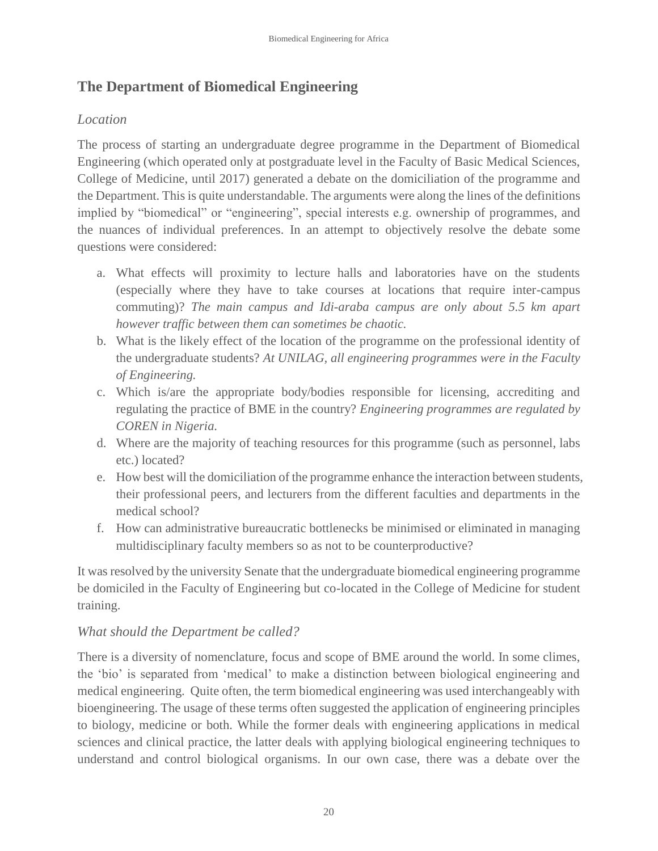## **The Department of Biomedical Engineering**

#### *Location*

The process of starting an undergraduate degree programme in the Department of Biomedical Engineering (which operated only at postgraduate level in the Faculty of Basic Medical Sciences, College of Medicine, until 2017) generated a debate on the domiciliation of the programme and the Department. This is quite understandable. The arguments were along the lines of the definitions implied by "biomedical" or "engineering", special interests e.g. ownership of programmes, and the nuances of individual preferences. In an attempt to objectively resolve the debate some questions were considered:

- a. What effects will proximity to lecture halls and laboratories have on the students (especially where they have to take courses at locations that require inter-campus commuting)? *The main campus and Idi-araba campus are only about 5.5 km apart however traffic between them can sometimes be chaotic.*
- b. What is the likely effect of the location of the programme on the professional identity of the undergraduate students? *At UNILAG, all engineering programmes were in the Faculty of Engineering.*
- c. Which is/are the appropriate body/bodies responsible for licensing, accrediting and regulating the practice of BME in the country? *Engineering programmes are regulated by COREN in Nigeria.*
- d. Where are the majority of teaching resources for this programme (such as personnel, labs etc.) located?
- e. How best will the domiciliation of the programme enhance the interaction between students, their professional peers, and lecturers from the different faculties and departments in the medical school?
- f. How can administrative bureaucratic bottlenecks be minimised or eliminated in managing multidisciplinary faculty members so as not to be counterproductive?

It was resolved by the university Senate that the undergraduate biomedical engineering programme be domiciled in the Faculty of Engineering but co-located in the College of Medicine for student training.

### *What should the Department be called?*

There is a diversity of nomenclature, focus and scope of BME around the world. In some climes, the 'bio' is separated from 'medical' to make a distinction between biological engineering and medical engineering. Quite often, the term biomedical engineering was used interchangeably with bioengineering. The usage of these terms often suggested the application of engineering principles to biology, medicine or both. While the former deals with engineering applications in medical sciences and clinical practice, the latter deals with applying biological engineering techniques to understand and control biological organisms. In our own case, there was a debate over the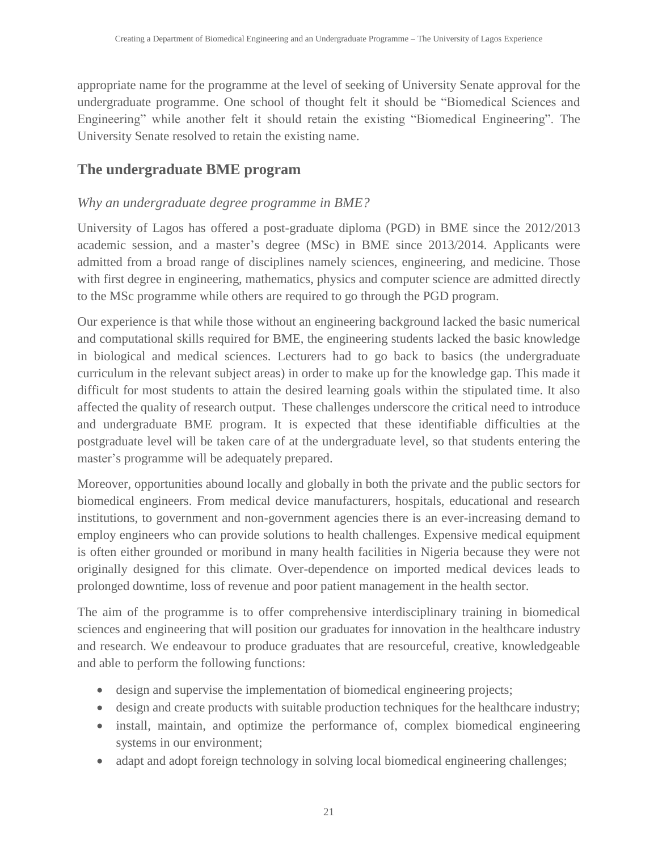appropriate name for the programme at the level of seeking of University Senate approval for the undergraduate programme. One school of thought felt it should be "Biomedical Sciences and Engineering" while another felt it should retain the existing "Biomedical Engineering". The University Senate resolved to retain the existing name.

### **The undergraduate BME program**

#### *Why an undergraduate degree programme in BME?*

University of Lagos has offered a post-graduate diploma (PGD) in BME since the 2012/2013 academic session, and a master's degree (MSc) in BME since 2013/2014. Applicants were admitted from a broad range of disciplines namely sciences, engineering, and medicine. Those with first degree in engineering, mathematics, physics and computer science are admitted directly to the MSc programme while others are required to go through the PGD program.

Our experience is that while those without an engineering background lacked the basic numerical and computational skills required for BME, the engineering students lacked the basic knowledge in biological and medical sciences. Lecturers had to go back to basics (the undergraduate curriculum in the relevant subject areas) in order to make up for the knowledge gap. This made it difficult for most students to attain the desired learning goals within the stipulated time. It also affected the quality of research output. These challenges underscore the critical need to introduce and undergraduate BME program. It is expected that these identifiable difficulties at the postgraduate level will be taken care of at the undergraduate level, so that students entering the master's programme will be adequately prepared.

Moreover, opportunities abound locally and globally in both the private and the public sectors for biomedical engineers. From medical device manufacturers, hospitals, educational and research institutions, to government and non-government agencies there is an ever-increasing demand to employ engineers who can provide solutions to health challenges. Expensive medical equipment is often either grounded or moribund in many health facilities in Nigeria because they were not originally designed for this climate. Over-dependence on imported medical devices leads to prolonged downtime, loss of revenue and poor patient management in the health sector.

The aim of the programme is to offer comprehensive interdisciplinary training in biomedical sciences and engineering that will position our graduates for innovation in the healthcare industry and research. We endeavour to produce graduates that are resourceful, creative, knowledgeable and able to perform the following functions:

- design and supervise the implementation of biomedical engineering projects;
- design and create products with suitable production techniques for the healthcare industry;
- install, maintain, and optimize the performance of, complex biomedical engineering systems in our environment;
- adapt and adopt foreign technology in solving local biomedical engineering challenges;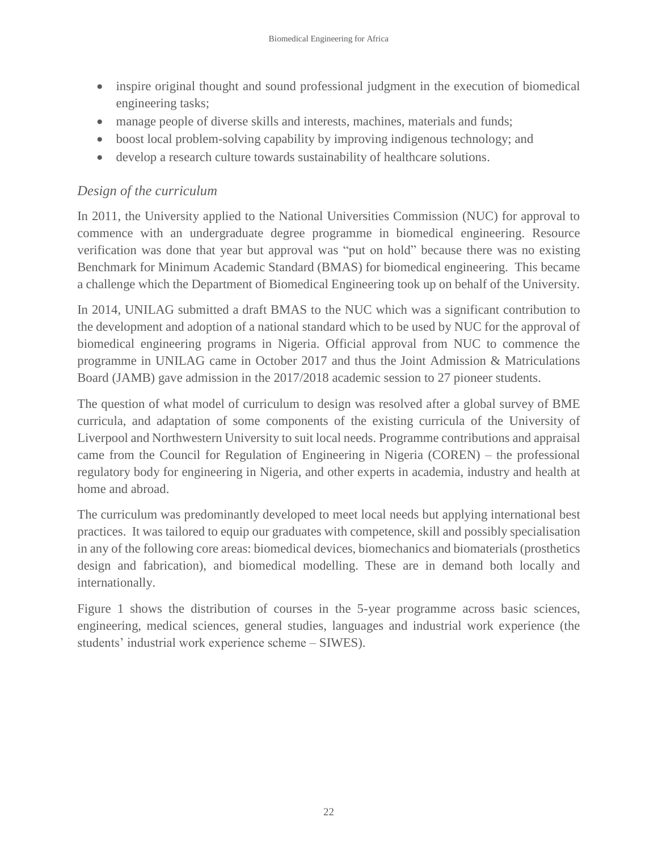- inspire original thought and sound professional judgment in the execution of biomedical engineering tasks;
- manage people of diverse skills and interests, machines, materials and funds;
- boost local problem-solving capability by improving indigenous technology; and
- develop a research culture towards sustainability of healthcare solutions.

## *Design of the curriculum*

In 2011, the University applied to the National Universities Commission (NUC) for approval to commence with an undergraduate degree programme in biomedical engineering. Resource verification was done that year but approval was "put on hold" because there was no existing Benchmark for Minimum Academic Standard (BMAS) for biomedical engineering. This became a challenge which the Department of Biomedical Engineering took up on behalf of the University.

In 2014, UNILAG submitted a draft BMAS to the NUC which was a significant contribution to the development and adoption of a national standard which to be used by NUC for the approval of biomedical engineering programs in Nigeria. Official approval from NUC to commence the programme in UNILAG came in October 2017 and thus the Joint Admission & Matriculations Board (JAMB) gave admission in the 2017/2018 academic session to 27 pioneer students.

The question of what model of curriculum to design was resolved after a global survey of BME curricula, and adaptation of some components of the existing curricula of the University of Liverpool and Northwestern University to suit local needs. Programme contributions and appraisal came from the Council for Regulation of Engineering in Nigeria (COREN) – the professional regulatory body for engineering in Nigeria, and other experts in academia, industry and health at home and abroad.

The curriculum was predominantly developed to meet local needs but applying international best practices. It was tailored to equip our graduates with competence, skill and possibly specialisation in any of the following core areas: biomedical devices, biomechanics and biomaterials (prosthetics design and fabrication), and biomedical modelling. These are in demand both locally and internationally.

Figure 1 shows the distribution of courses in the 5-year programme across basic sciences, engineering, medical sciences, general studies, languages and industrial work experience (the students' industrial work experience scheme – SIWES).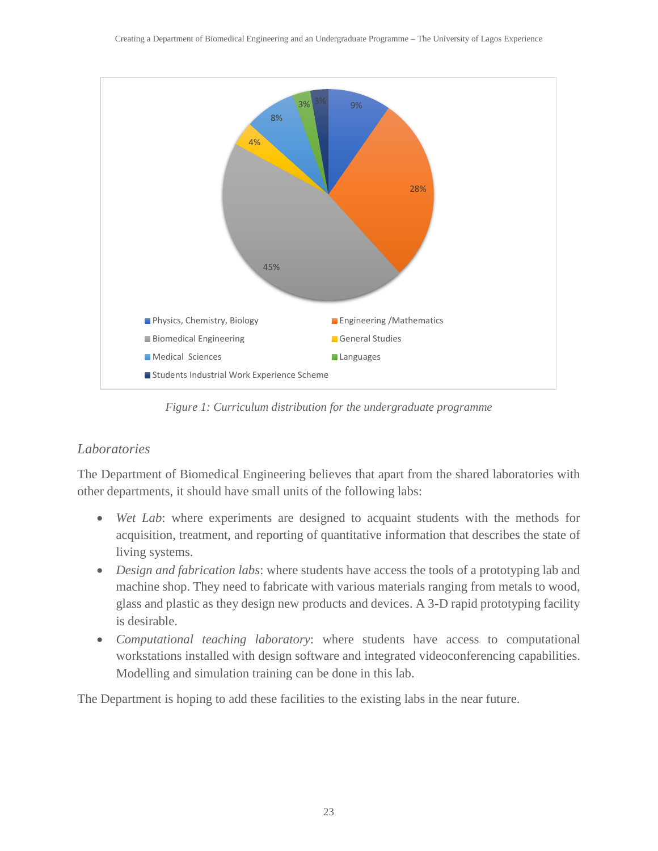

*Figure 1: Curriculum distribution for the undergraduate programme*

#### *Laboratories*

The Department of Biomedical Engineering believes that apart from the shared laboratories with other departments, it should have small units of the following labs:

- *Wet Lab*: where experiments are designed to acquaint students with the methods for acquisition, treatment, and reporting of quantitative information that describes the state of living systems.
- *Design and fabrication labs:* where students have access the tools of a prototyping lab and machine shop. They need to fabricate with various materials ranging from metals to wood, glass and plastic as they design new products and devices. A 3-D rapid prototyping facility is desirable.
- *Computational teaching laboratory*: where students have access to computational workstations installed with design software and integrated videoconferencing capabilities. Modelling and simulation training can be done in this lab.

The Department is hoping to add these facilities to the existing labs in the near future.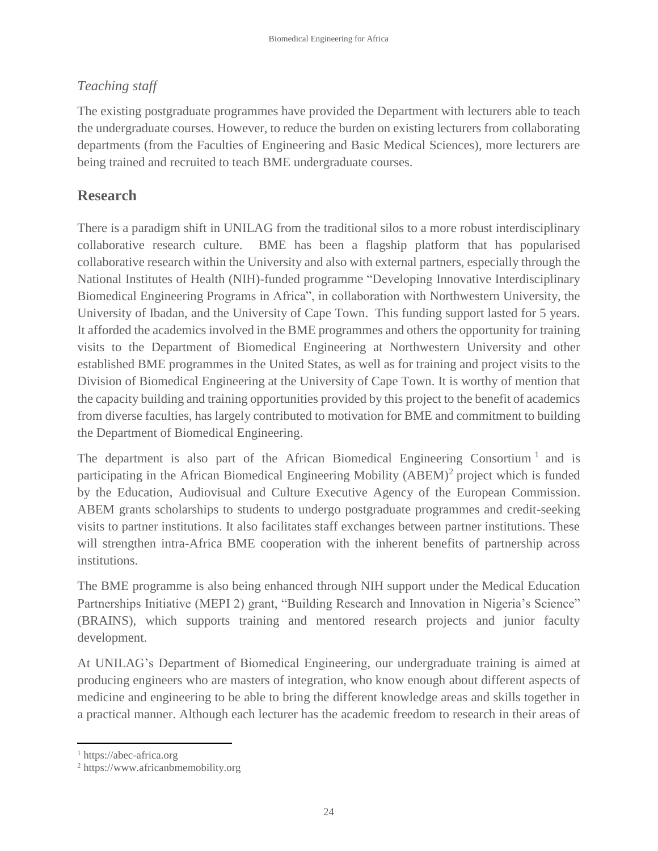## *Teaching staff*

The existing postgraduate programmes have provided the Department with lecturers able to teach the undergraduate courses. However, to reduce the burden on existing lecturers from collaborating departments (from the Faculties of Engineering and Basic Medical Sciences), more lecturers are being trained and recruited to teach BME undergraduate courses.

## **Research**

There is a paradigm shift in UNILAG from the traditional silos to a more robust interdisciplinary collaborative research culture. BME has been a flagship platform that has popularised collaborative research within the University and also with external partners, especially through the National Institutes of Health (NIH)-funded programme "Developing Innovative Interdisciplinary Biomedical Engineering Programs in Africa", in collaboration with Northwestern University, the University of Ibadan, and the University of Cape Town. This funding support lasted for 5 years. It afforded the academics involved in the BME programmes and others the opportunity for training visits to the Department of Biomedical Engineering at Northwestern University and other established BME programmes in the United States, as well as for training and project visits to the Division of Biomedical Engineering at the University of Cape Town. It is worthy of mention that the capacity building and training opportunities provided by this project to the benefit of academics from diverse faculties, has largely contributed to motivation for BME and commitment to building the Department of Biomedical Engineering.

The department is also part of the African Biomedical Engineering Consortium<sup>1</sup> and is participating in the African Biomedical Engineering Mobility (ABEM)<sup>2</sup> project which is funded by the Education, Audiovisual and Culture Executive Agency of the European Commission. ABEM grants scholarships to students to undergo postgraduate programmes and credit-seeking visits to partner institutions. It also facilitates staff exchanges between partner institutions. These will strengthen intra-Africa BME cooperation with the inherent benefits of partnership across institutions.

The BME programme is also being enhanced through NIH support under the Medical Education Partnerships Initiative (MEPI 2) grant, "Building Research and Innovation in Nigeria's Science" (BRAINS), which supports training and mentored research projects and junior faculty development.

At UNILAG's Department of Biomedical Engineering, our undergraduate training is aimed at producing engineers who are masters of integration, who know enough about different aspects of medicine and engineering to be able to bring the different knowledge areas and skills together in a practical manner. Although each lecturer has the academic freedom to research in their areas of

 $\overline{a}$ 

<sup>1</sup> https://abec-africa.org

<sup>2</sup> https://www.africanbmemobility.org